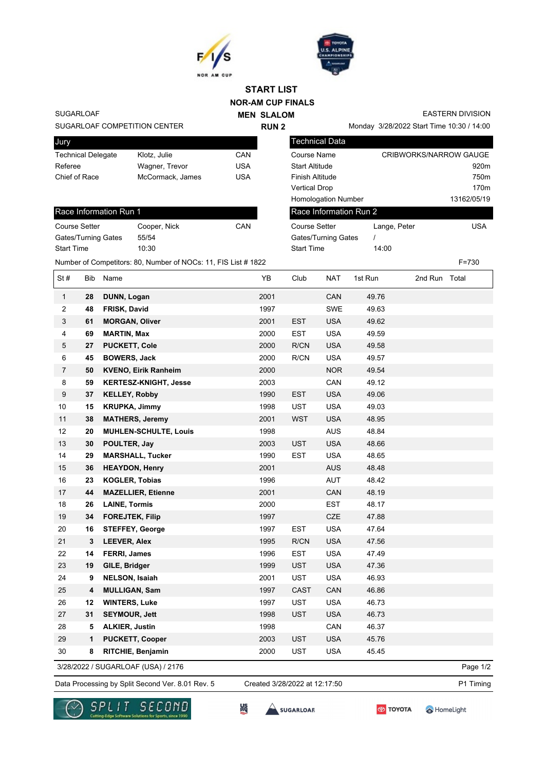



## **NOR-AM CUP FINALS START LIST**

**RUN 2**

**MEN SLALOM** 

SUGARLOAF

## SUGARLOAF COMPETITION CENTER

| Jury                      |                  |     |
|---------------------------|------------------|-----|
| <b>Technical Delegate</b> | Klotz, Julie     | CAN |
| Referee                   | Wagner, Trevor   | USA |
| Chief of Race             | McCormack, James | USA |
|                           |                  |     |

## Race Information Run 1 Course Setter Cooper, Nick CAN Gates/Turning Gates 55/54 Start Time 10:30

EASTERN DIVISION

Monday 3/28/2022 Start Time 10:30 / 14:00

| Technical Data             |              |                               |
|----------------------------|--------------|-------------------------------|
| Course Name                |              | <b>CRIBWORKS/NARROW GAUGE</b> |
| <b>Start Altitude</b>      |              | 920m                          |
| <b>Finish Altitude</b>     |              | 750m                          |
| <b>Vertical Drop</b>       |              | 170m                          |
| <b>Homologation Number</b> |              | 13162/05/19                   |
| Race Information Run 2     |              |                               |
| Course Setter              | Lange, Peter | USA                           |
| Gates/Turning Gates        |              |                               |
| <b>Start Time</b>          | 14:00        |                               |

Number of Competitors: 80, Number of NOCs: 11, FIS List # 1822 F=730

| St#            | <b>Bib</b> | Name                         | YB   | Club        | <b>NAT</b> | 1st Run | 2nd Run Total |  |
|----------------|------------|------------------------------|------|-------------|------------|---------|---------------|--|
| $\mathbf{1}$   | 28         | DUNN, Logan                  | 2001 |             | CAN        | 49.76   |               |  |
| $\overline{c}$ | 48         | <b>FRISK, David</b>          | 1997 |             | <b>SWE</b> | 49.63   |               |  |
| 3              | 61         | <b>MORGAN, Oliver</b>        | 2001 | <b>EST</b>  | <b>USA</b> | 49.62   |               |  |
| $\overline{4}$ | 69         | <b>MARTIN, Max</b>           | 2000 | <b>EST</b>  | <b>USA</b> | 49.59   |               |  |
| 5              | 27         | <b>PUCKETT, Cole</b>         | 2000 | R/CN        | <b>USA</b> | 49.58   |               |  |
| 6              | 45         | <b>BOWERS, Jack</b>          | 2000 | R/CN        | <b>USA</b> | 49.57   |               |  |
| $\overline{7}$ | 50         | <b>KVENO, Eirik Ranheim</b>  | 2000 |             | <b>NOR</b> | 49.54   |               |  |
| 8              | 59         | <b>KERTESZ-KNIGHT, Jesse</b> | 2003 |             | CAN        | 49.12   |               |  |
| 9              | 37         | <b>KELLEY, Robby</b>         | 1990 | <b>EST</b>  | <b>USA</b> | 49.06   |               |  |
| 10             | 15         | <b>KRUPKA, Jimmy</b>         | 1998 | <b>UST</b>  | <b>USA</b> | 49.03   |               |  |
| 11             | 38         | <b>MATHERS, Jeremy</b>       | 2001 | <b>WST</b>  | <b>USA</b> | 48.95   |               |  |
| 12             | 20         | <b>MUHLEN-SCHULTE, Louis</b> | 1998 |             | <b>AUS</b> | 48.84   |               |  |
| 13             | 30         | POULTER, Jay                 | 2003 | <b>UST</b>  | <b>USA</b> | 48.66   |               |  |
| 14             | 29         | <b>MARSHALL, Tucker</b>      | 1990 | <b>EST</b>  | <b>USA</b> | 48.65   |               |  |
| 15             | 36         | <b>HEAYDON, Henry</b>        | 2001 |             | <b>AUS</b> | 48.48   |               |  |
| 16             | 23         | <b>KOGLER, Tobias</b>        | 1996 |             | <b>AUT</b> | 48.42   |               |  |
| 17             | 44         | <b>MAZELLIER, Etienne</b>    | 2001 |             | CAN        | 48.19   |               |  |
| 18             | 26         | <b>LAINE, Tormis</b>         | 2000 |             | <b>EST</b> | 48.17   |               |  |
| 19             | 34         | <b>FOREJTEK, Filip</b>       | 1997 |             | CZE        | 47.88   |               |  |
| 20             | 16         | <b>STEFFEY, George</b>       | 1997 | <b>EST</b>  | <b>USA</b> | 47.64   |               |  |
| 21             | 3          | <b>LEEVER, Alex</b>          | 1995 | R/CN        | <b>USA</b> | 47.56   |               |  |
| 22             | 14         | FERRI, James                 | 1996 | <b>EST</b>  | <b>USA</b> | 47.49   |               |  |
| 23             | 19         | GILE, Bridger                | 1999 | <b>UST</b>  | <b>USA</b> | 47.36   |               |  |
| 24             | 9          | <b>NELSON, Isaiah</b>        | 2001 | <b>UST</b>  | <b>USA</b> | 46.93   |               |  |
| 25             | 4          | <b>MULLIGAN, Sam</b>         | 1997 | <b>CAST</b> | CAN        | 46.86   |               |  |
| 26             | 12         | <b>WINTERS, Luke</b>         | 1997 | <b>UST</b>  | <b>USA</b> | 46.73   |               |  |
| 27             | 31         | <b>SEYMOUR, Jett</b>         | 1998 | <b>UST</b>  | <b>USA</b> | 46.73   |               |  |
| 28             | 5          | ALKIER, Justin               | 1998 |             | CAN        | 46.37   |               |  |
| 29             | 1          | <b>PUCKETT, Cooper</b>       | 2003 | <b>UST</b>  | <b>USA</b> | 45.76   |               |  |
| 30             | 8          | RITCHIE, Benjamin            | 2000 | <b>UST</b>  | <b>USA</b> | 45.45   |               |  |

3/28/2022 / SUGARLOAF (USA) / 2176

Data Processing by Split Second Ver. 8.01 Rev. 5 Created 3/28/2022 at 12:17:50 P1 Timing Created 3/28/2022 at 12:17:50



监

SUGARLOAF



HomeLight